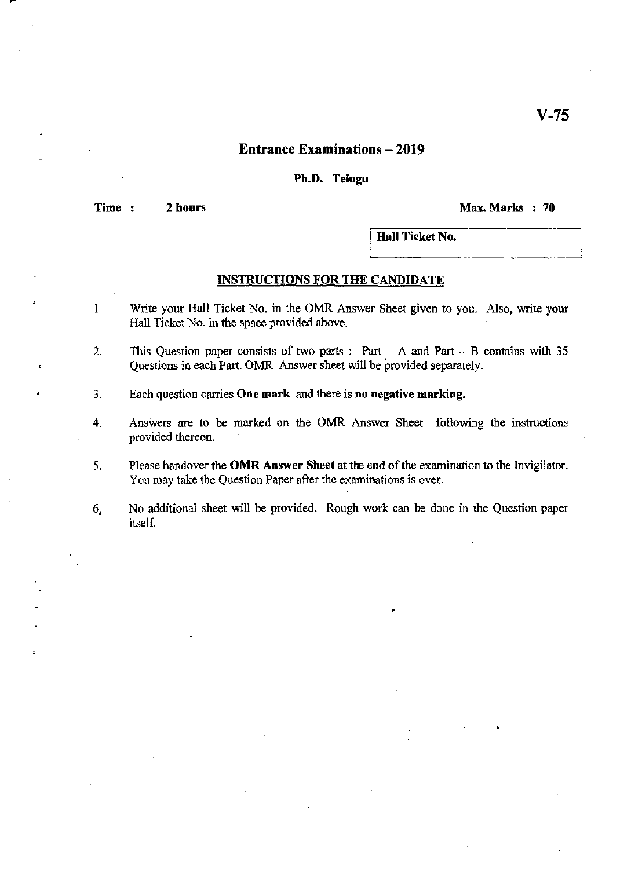## Entrance Examinations - 2019

#### Ph.D. Telugu

**Time** 2 hours ~.x.~.rhs 70

Hall Ticket No.

#### INSTRUCTIONS FOR THE CANDIDATE

- 1. Write your Hall Ticket No. in the OMR Answer Sheet given to you. Also, write your Hall Ticket No. in the space provided above.
- 2. This Question paper consists of two parts: Part A and Part B contains with 35 Questions in each Part. OMR Answer sheet will be provided separately.
- 3. Each question carries **One mark** and there is **no negative marking.**
- 4. Answers are to be marked on the OMR Answer Sheet following the instructions provided thereon.
- 5. Please handover the **OMR Answer Sheet** at the end of the examination to the Invigilator. You may take the Question Paper after the examinations is over.
- 6, No additional sheet will be provided, Rough work can be done in the Question paper itself.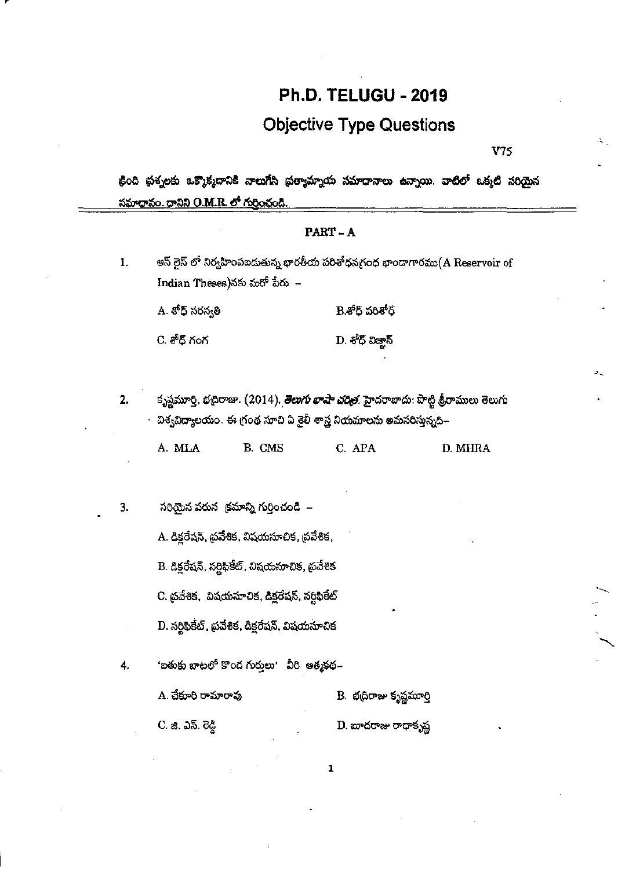# **Ph.D. TELUGU - 2019**

# **Objective Type Questions**

V75

క్రింది ప్రశ్నలకు ఒక్కొక్మదానికి నాలుగేసి ప్రత్యామ్నాయ సమాధానాలు ఉన్నాయి. వాటిలో ఒక్కటి సరియైన <u>సమాధానం. దానిని O.M.R. లో గుర్రించండి.</u>

# PART-A ఆస్ లైన్ లో నిర్వహింపబడుతున్న భారతీయ పరిశోధనగ్రంథ భాందాగారము(A Reservoir of 1. Indian Theses)నకు మరో పేరు $\,$  – A. శోధ్ సరస్వతి B. లోధ్ పరిశోధ్ C. శోద్ గంగ D. శోధ్ విజాన్ కృష్ణమూర్తి, భద్రిరాజు. (2014). <mark>తెలుగు *భాషా చరిత్ర*.</mark> హైదరాబాదు: పొట్టి శ్రీరాములు తెలుగు  $2.$ విశ్వవిద్యాలయం. ఈ గ్రంథ సూచి ఏ శైలీ శాస్త్ర నియమాలను అమసరిస్తున్నది– A. MLA B. CMS C. APA D. MHRA సరియైన వరున క్రమాన్ని గుర్తించండి – 3. A. డిక్లరేషన్, థ్రవేశిక, విషయసూచిక, థ్రవేశిక, B. డిక్లరేషన్, సర్టిఫికేట్, విషయసూచిక, ప్రవేశిక C. ప్రవేశిక, విషయసూచిక, డిక్టరేషన్, సర్టిఫికేట్ D. సర్టిఫికేట్, ప్రవేశిక, డిక్లరేషన్, విషయసూచిక 'ఐతుకు బాటలో కొంద గుర్తులు' వీరి ఆత్మకథ– 4. A. చేకూరి రామారావు B. భద్రిరాజు కృష్ణమూర్తి

C. జి. ఎన్. రెడ్డి D. బాదరాజు రాధాకృష్ణ

 $\mathbf{1}$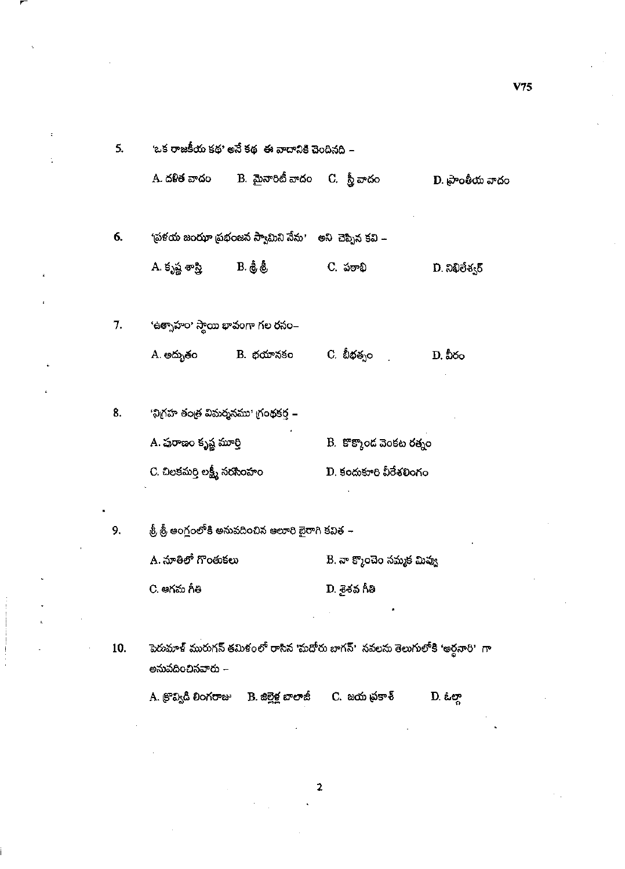| 5.  | 'ఒక రాజకీయ కథ' అనే కథ -ఈ వాదానికి చెందినది – |                                                             |                                                                               |                           |
|-----|----------------------------------------------|-------------------------------------------------------------|-------------------------------------------------------------------------------|---------------------------|
|     |                                              | A. దళిత వాదం         B.  మైనారిటీ వాదం     C.   స్త్రీ వాదం |                                                                               | D. ప్రాంతీయ వాదం          |
| 6.  |                                              | 'ప్రళయ జంఝా ప్రభంజన స్వామిని నేను' అని చెప్పిన కవి –        |                                                                               |                           |
|     | A. కృష్ణ శాస్త్రి ( B. శ్రీ శ్రీ)            |                                                             | C. పఠాభి                                                                      | $D.$ බහිවිඡ $\mathcal{S}$ |
| 7.  | 'ఉత్సాహం' స్మాయి భావంగా గల రసం–              |                                                             |                                                                               |                           |
|     |                                              | A. అద్భుతం             B.  భయానకం                           | C. బీభత్నం <sub>.</sub>                                                       | D. వీరం                   |
| 8.  | 'విగ్రహ తంత్ర విమర్శనము' గ్రంథకర్త –         |                                                             |                                                                               |                           |
|     | A. ప్రరాణం కృష్ణ మూర్తి                      |                                                             | B. కొక్కొంద వెంకట రత్నం                                                       |                           |
|     | C. చిలకమర్తి లక్ష్మీ నరసింహం                 |                                                             | D. కందుకూరి వీరేశలింగం                                                        |                           |
| 9.  |                                              | .శ్రీ శ్రీ అంగ్లంలోకి అనువదించిన ఆలూరి బైరాగి కవిత –        |                                                                               |                           |
|     | A. నూతిలో గొంతుకలు                           |                                                             | B. నా క్మొంచెం నమ్మక మివ్వు                                                   |                           |
|     | C. ఆగమ గీతి                                  |                                                             | D. శైశవ గీతి                                                                  |                           |
|     |                                              |                                                             |                                                                               |                           |
| 10. | అనువదించినవారు –                             |                                                             | పెరుమాళ్ మురుగన్ తమిళంలో రాసిన 'మదోరు బాగన్'  నవలను తెలుగులోకి 'అర్ధనారి'  గా |                           |
|     |                                              | A. క్రొవ్విడి లింగరాజు — B. జిల్లెళ్ల బాలాజీ —              | C. జయ ప్రకాశ్                                                                 | D. ఓల్లా                  |

 $\ddot{\phantom{a}}$ 

÷,

.

÷

 $\frac{1}{2}$ 

 $\bar{\mathcal{A}}$ 

 $\sim$ 

 $V75$ 

 $\tilde{\phantom{a}}$ 

l,

 $\mathbf{2}$ 

 $\bar{\mathbf{v}}$ 

 $\bar{z}$ 

 $\bar{z}$ 

 $\mathcal{F}_{\mathcal{A}}$  ,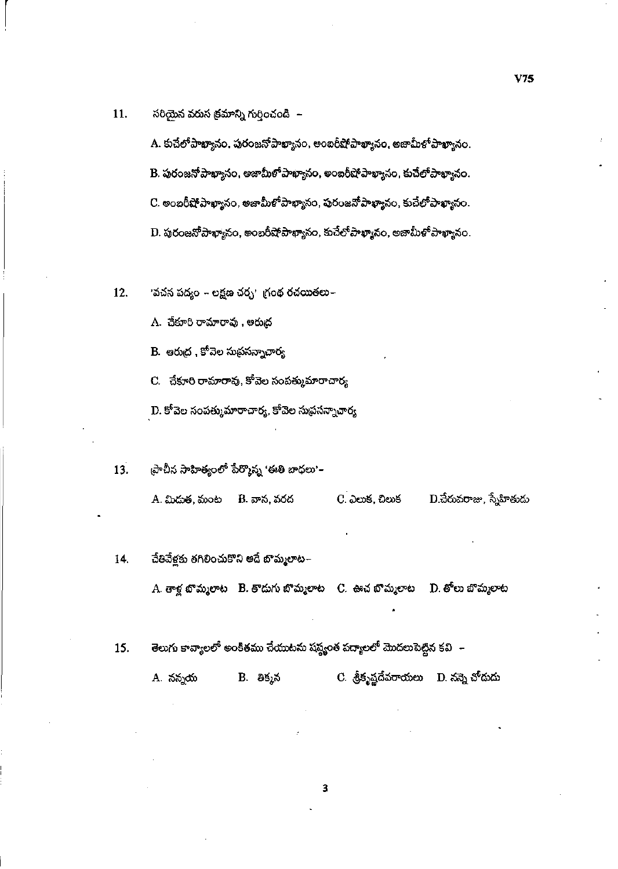సరియైన వరుస క్రమాన్ని గుర్తించండి – 11.

> A. కుచేలోపాఖ్యానం, పురంజనోపాఖ్యానం, అంబరీషోపాఖ్యానం, అజామీళోపాఖ్యానం. B. పురంజనో పాఖ్యానం, అజామీళో పాఖ్యానం, అంబరీషో పాఖ్యానం, కుచేలో పాఖ్యానం. C. అంబరీషోపాఖ్యానం, అజామీళోపాఖ్యానం, పురంజనోపాఖ్యానం, కుచేలోపాఖ్యానం. D. పురంజనోపాఖ్యానం, అంబరీషోపాఖ్యానం, కుచేలోపాఖ్యానం, అజామీళోపాఖ్యానం.

12. 'వచన పద్యం – లక్షణ చర్చ' గ్రంథ రచయితలు–

A. చేకూరి రామారావు , ఆరుద్ర

B. అరుద్ర , కోవెల సుప్రసన్నాచార్య

 $\mathbf C$ . చేకూరి రామారావు, కోవెల సంపత్కుమారాచార్య

 $\mathbf D$ . కోవెల సంపత్కుమారాచార్య, కోవెల సుథసన్నాచార్య

ప్రాచీన సాహిత్యంలో పేర్మొన్న 'ఈతి బాధలు'– 13. D.చేరువరాజు, స్నేహితుడు A. మిదుత, మంట B. వాన, వరద C. ఎలుక, చిలుక

- చేతివేళ్లకు తగిలించుకొని అదే బొమ్మలాట~ 14. A. తాళ్ల బొమ్మలాట - B. తొదుగు బొమ్మలాట - C. - ఊచ బొమ్మలాట D. తోలు బొమ్మలాట
- తెలుగు కావ్యాలలో అంకితము చేయుటను షష్ట్రంత పద్యాలలో మొదలుపెట్టిన కవి $\;$  15.

 $C.$  శ్రీకృష్ణదేవరాయలు  $D.$  నన్నె చోదుడు A. నన్నయ B. తిక్మన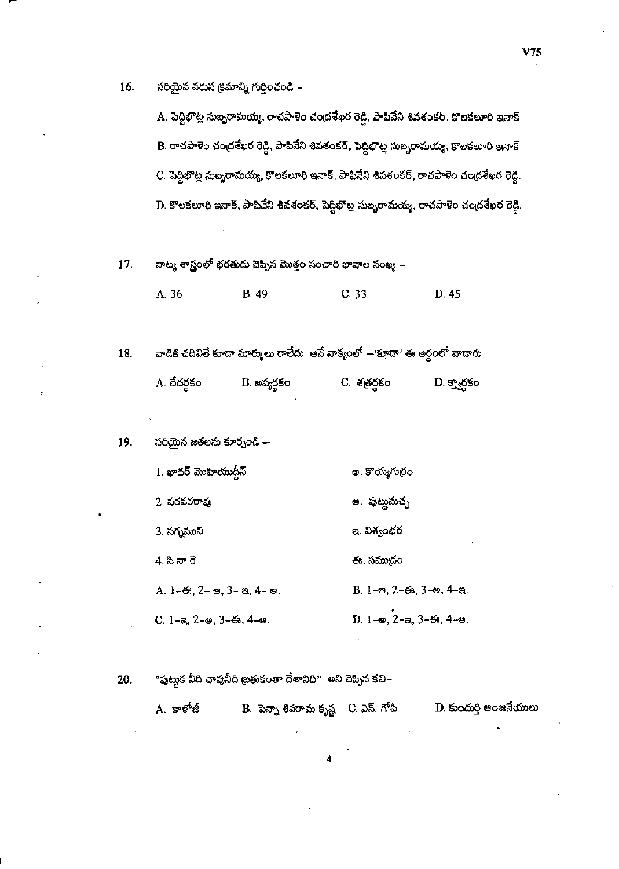16. సరియైన వరుస క్రమాన్ని గుర్తించండి –

> A. పెద్దిభొట్ల సుబ్బరామయ్య, రాచపాళెం చంద్రశేఖర రెడ్డి, పాపినేని శివశంకర్, కొలకలూరి ఇనాక్ B. రాచపాళెం చంద్రశేఖర రెడ్డి, పాపినేని శివశంకర్, పెద్దిభొట్ల సుబ్బరామయ్య, కొలకలూరి ఇనాక్ C. పెద్దిభొట్ల సుబ్బరామయ్య, కొలకలూరి ఇనాక్, పాపినేని శివశంకర్, రాచపాళెం చం<sub>ట్</sub> శేఖర రెడ్డి. D. కొలకలూరి ఇనాక్, పాపినేని శివశంకర్, పెద్దిభొట్ల సుబృరామయ్య, రాచపాళెం చంద్రశేఖర రెడ్డి.

నాట్య శాస్త్రంలో భరతుదు చెప్పిన మొత్తం సంచారి భావాల సంఖ్య – 17.

> A. 36 **B.** 49  $C.33$ D. 45

వాడికి చదివితే కూడా మార్కులు రాలేదు అనే వాక్యంలో — కూడా' ఈ అర్థంలో వాడారు 18. A. చేదర్థకం C. శత్రర్థకం B. అప్యర్థకం D. క్వార్డకం

19. సరియైన జతలను కూర్చండి —

| 1. ఖాదర్ మొహియుద్రీన్                                      | అ. కొయ్యగుర్రం                                                         |
|------------------------------------------------------------|------------------------------------------------------------------------|
| 2. వరవరరావు                                                | అ. పుట్టుమచ్చ                                                          |
| 3. నగ్నముని                                                | ఇ. విశ్వంభర                                                            |
| 4. సీనా రె                                                 | ఈ. సముదం                                                               |
| A. $1-68$ , $2-89$ , $3-8$ , $4-89$ .                      | В. 1-е, 2-6з, 3-е, 4-е.                                                |
| C. 1-a, $2$ - $\omega$ , $3$ - $\omega$ , $4$ - $\omega$ . | $D. 1$ - $\omega$ , $2$ - $\omega$ , $3$ - $\omega$ , $4$ - $\omega$ . |

"పుట్దుక నీది చావునీది బ్రతుకంతా దేశానిది" అని చెప్పిన కవి– 20.

> $\mathbf D$ . కుందుర్తి ఆంజనేయులు  $\, {\bf B} \,$  పెన్నా శివరామ కృష్ణ $\,$  C. ఎస్. గోపి  $A.$  కాళోజీ

> > Δ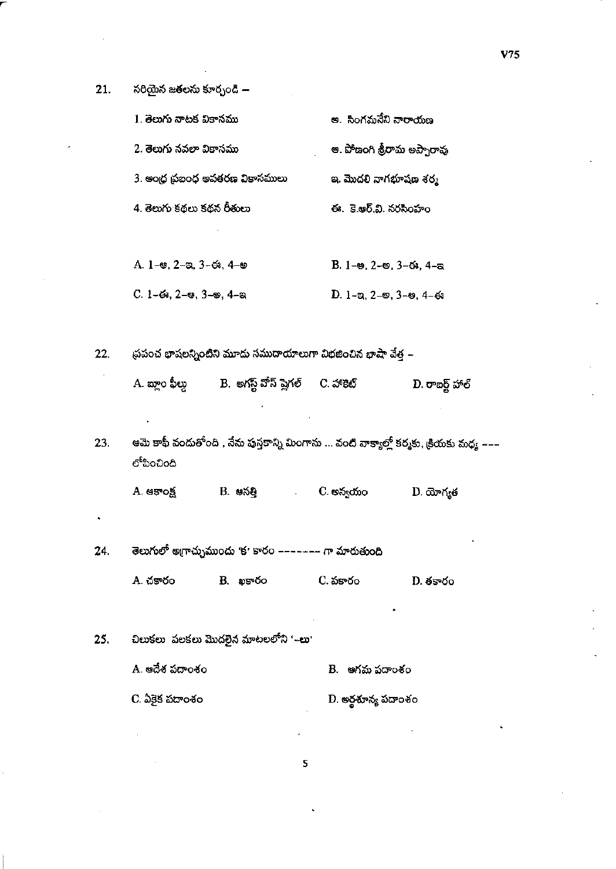సరియైన జతలను కూర్చండి  $21.$ 

| 1. తెలుగు నాటక వికానము          | అ. సింగమనేని నారాయణ                        |
|---------------------------------|--------------------------------------------|
| 2. తెలుగు నవలా వికాసము          | ఆ. పోణంగి శ్రీరామ అప్పారావు                |
| 3. ఆంధ్ర ప్రబంధ అవతరణ వికాసములు | ఇ. మొదలి నాగభూషణ శర్మ                      |
| 4. తెలుగు కథలు కథన రీతులు       | ఈ. కె.ఆర్.వి. నరసింహం                      |
|                                 |                                            |
| A. 1–ఆ. 2–ఇ. 3–ఈ. 4–అ           | $B. 1 9.2 9.3 3 3.4 3$                     |
| $C. 1-6$ s. 2-es. 3-es. 4-a     | $D. 1$ –ක, 2– $\omega$ , 3– $\omega$ , 4–ఈ |
|                                 |                                            |

ప్రపంచ భాషలన్నింటిని మూడు సముదాయాలుగా విభజించిన భాషా వేత్త –  $22.$ 

ఆమె కాఫీ వందుతోంది , నేను పుస్తకాన్ని మింగాను ... వంటి వాక్యాల్లో కర్మకు, క్రియకు మధ్య ––– 23. లోపించింది

B. ఆసత్తి C. అన్వయం A. ఆకాంక్ష  $D.$  యోగ్యత  $\bar{\mathcal{A}}$ 

తెలుగులో అగ్రాచ్చుముందు 'క' కారం ======= గా మారుతుంది 24. A. చకారం C. పకారం B. apsyco  $D.$  తకారం

చిలుకలు పలకలు మొదలైన మాటలలోని '–లు' 25. A. ఆదేశ పదాంశం B. అగమ పదాంశం

 $C.$  ఏకైక పదాంశం D. అర్థశూన్య పదాంశం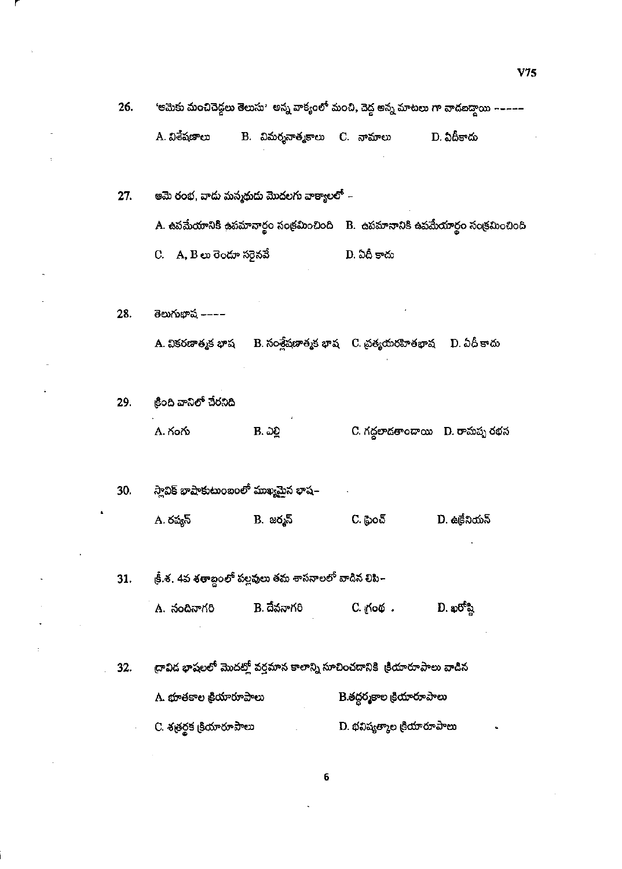'అమెకు మంచిచెద్దలు తెలుసు' అన్న వాక్యంలో మంచి, చెద్ద అన్న మాటలు గా వాడబద్దాయి ––––– A. విశేషణాలు B. విమర్శనాత్మకాలు C. నామాలు D. ఏదీకాదు ఆమె రంభ, వాదు మన్మథుడు మొదలగు వాక్యాలలో –  $27.$ A. ఉపమేయానికి ఉపమానార్థం సంక్రమించింది B. ఉపమానానికి ఉపమేయార్థం సంక్రమించింది D. ఏదీ కాదు C. A, B లు రెందూ సరైనవే 28. తెలుగుభాష ----A. వికరణాత్మక భాష B. సంశ్లేషణాత్మక భాష C. చ్రత్యయరహితభాష D. ఏదీ కాదు క్రింది వానిలో చేరనిది 29. C. గద్దలాదతాందాయి D. రామప్ప రభస Α. గంగు B. ఎ<u>ల్</u> స్లావిక్ భాషాకుటుంబంలో ముఖ్యమైన భాష $\text{-}$ 30.  $C.$  ధైంచ్ A. రష్యన్  $B.$  జర్మన్ D. ఉ<sub></sub>தலை త్రీ.శ. 4వ శతాబ్దంలో పల్లవులు తమ శాసనాలలో వాడిన <mark>లిపి</mark>– 31. C. గ్రంథ.  $D.$  ఖరోష్ణి A. నందినాగరి B. దేవనాగరి ద్రావిద భాషలలో మొదట్లో వర్తమాన కాలాన్ని సూచించడానికి ్రియారూపాలు వాడిన 32. A. భూతకాల క్రియారూపాలు B.తద్దర్శకాల <sub>క్</sub>రియారూపాలు

26.

C. శత్రర్థక క్రియారూపాలు D. భవిష్యత్మాల క్రియారూపాలు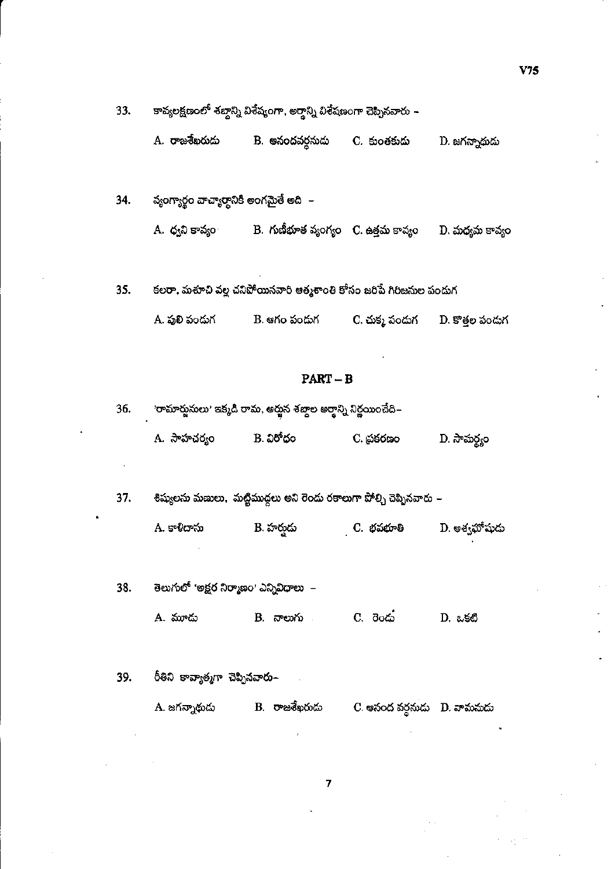| A. రాజశేఖరుదు<br>B. ఆనందవర్గనుడు<br>C. కుంతకుదు | D. జగన్నాథుడు |
|-------------------------------------------------|---------------|
|-------------------------------------------------|---------------|

వ్యంగ్యార్థం వాచ్యార్థానికీ అంగమైతే అది – 34. B. గుణీభూత వ్యంగ్యం  $\,$  C. ఉత్తమ కావ్యం A. ధ్వని కావ్యం  $\mathbf D$ . మధ్యమ కావ్యం

35. కలరా, మశూచి వల్ల చనిపోయినవారి ఆత్మశాంతి కోసం జరిపే గిరిజనుల పందుగ

| - A. పులి పందుగ | B. ఆగం పందుగ | C. చుక్క పండుగ | -D. కొత్తల పండుగ |
|-----------------|--------------|----------------|------------------|
|-----------------|--------------|----------------|------------------|

#### $PART-B$

| 36. | 'రామార్జుసులు' ఇక్కడి రామ, అర్జున శబ్దాల అర్థాన్ని నిర్ణయించేది– |           |           |              |  |
|-----|------------------------------------------------------------------|-----------|-----------|--------------|--|
|     | A. సాహచర్యం                                                      | B. విరోధం | C. దుకరణం | D. సామర్థ్యం |  |

శిష్యులను మణులు, మట్టిముద్దలు అని రెండు రకాలుగా పోల్చి చెప్పినవారు – 37.

| A. కాళీదాసు | B. హరుదు | C. భవభూతి | D. అశ్వహోషుదు |
|-------------|----------|-----------|---------------|
|-------------|----------|-----------|---------------|

.<br>తెలుగులో 'అక్షర నిర్మాణం' ఎన్నివిధాలు – 38.

> B. నాలుగు A. మూడు D. ఒకటి

రీతిని కావ్యాత్మగా చెప్పినవారు– 39.

> $\mathbf{B}_\mathrm{c}$  පැෂු තිහරි  $\mathbf A$ . జగన్నాథుడు C. అనంద వర్ధనుడు  $\|D\|$ . వామనుడు

> > $\overline{\mathbf{z}}$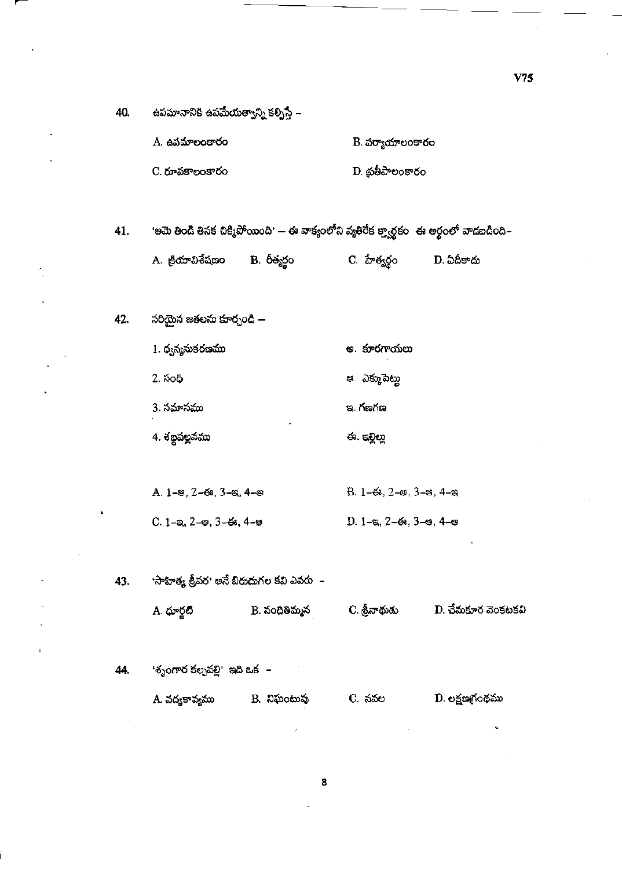| 40. | ఉపమానానికి ఉపమే <mark>యత్</mark> వాన్ని కల్చిస్తే –  |                                                                                           |                                                                   |                    |
|-----|------------------------------------------------------|-------------------------------------------------------------------------------------------|-------------------------------------------------------------------|--------------------|
|     | A. ఉపమాలంకారం                                        |                                                                                           | B. పర్యాయాలంకారం                                                  |                    |
|     | C. రూపకాలంకారం                                       |                                                                                           | D. ప్రతీపాలంకారం                                                  |                    |
|     |                                                      |                                                                                           |                                                                   |                    |
| 41. |                                                      | 'ఆమె తిండి తినక చిక్మిపోయింది' — ఈ వాక్యంలోని వ్యతిరేక క్ర్వార్థకం -ఈ అర్థంలో వాడబడింది – |                                                                   |                    |
|     | A. క్రియావిశేషణం B. రీత్యర్థం                        |                                                                                           | C. హేత్వర్థం                                                      | D. ఏదీకాదు         |
|     |                                                      |                                                                                           |                                                                   |                    |
| 42. | సరియైన జతలను కూర్చండి —                              |                                                                                           |                                                                   |                    |
|     | 1. ధ్వన్యనుకరణము                                     |                                                                                           | అ. కూరగాయలు                                                       |                    |
|     | 2. సంధి                                              |                                                                                           | ఆ. ఎక్కుపెట్లు                                                    |                    |
|     | 3. సమాసము                                            |                                                                                           | ఇ. గణగణ                                                           |                    |
|     | 4. శబ్దపల్లవము                                       |                                                                                           | ఈ. ఇల్లిల్లు                                                      |                    |
|     |                                                      |                                                                                           |                                                                   |                    |
|     | A. 1-ఆ, 2-ఈ, 3-ఇ, 4-అ                                |                                                                                           | $B. 1-63, 2-9, 3-9, 4-9$                                          |                    |
|     | $C. 1 - \infty, 2 - \infty, 3 - 6\infty, 4 - \infty$ |                                                                                           | $D. 1 - \epsilon$ , 2- $\epsilon$ , 3- $\epsilon$ , 4- $\epsilon$ |                    |
|     |                                                      |                                                                                           |                                                                   |                    |
| 43. | 'సాహిత్య శ్రీవర' అనే బిరుదుగల కవి ఎవరు  –            |                                                                                           |                                                                   |                    |
|     | A. ధూర్జటి                                           | B. నందితిమ్మన                                                                             | C. శ్రీనాథుడు                                                     | D. చేమకూర వెంకటకవి |
|     |                                                      |                                                                                           |                                                                   |                    |
| 44. | 'శృంగార కల్పవల్లి' ఇది ఒక  –                         |                                                                                           |                                                                   |                    |
|     | A. వద్యకావ్యము                                       | B. నిఘంటువు                                                                               | C. నవల                                                            | D. లక్షణగ్రంథము    |
|     |                                                      |                                                                                           |                                                                   |                    |

 $V<sub>75</sub>$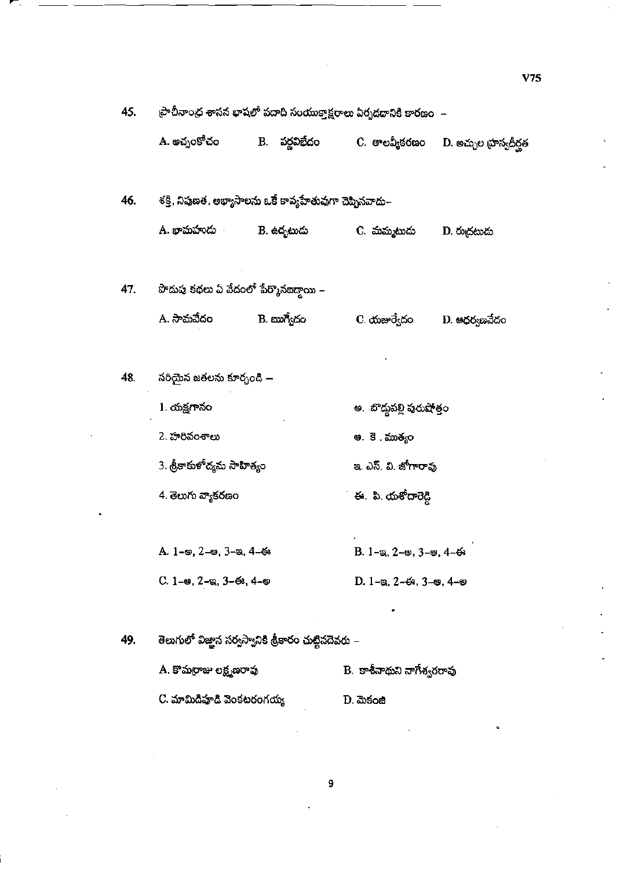| 45. | ప్రాచీనాంధ శాసన భాషలో పదాది సంయుక్తాక్షరాలు ఏర్పడదానికి కారణం  – |               |                                                              |                        |  |
|-----|------------------------------------------------------------------|---------------|--------------------------------------------------------------|------------------------|--|
|     | A. అచ్నంకోచం                                                     | B. వర్ణవిభేదం | C. తాలవ్యీకరణం                                               | D. అచ్చుల భాస్వదీర్ఘత  |  |
| 46. | శక్తి, నిపుణత, అభ్యాసాలను ఒకే కావ్యహేతువుగా చెప్పినవాదు–         |               |                                                              |                        |  |
|     | A. భామహాండు                                                      | B. ఉదృటుడు    | C. మమ్మటుదు                                                  | D. రుద్రటుడు           |  |
| 47. | పొదుపు కథలు ఏ వేదంలో పేర్కొనఐడ్డాయి –                            |               |                                                              |                        |  |
|     | A. సామవేదం                                                       | B. ఋగ్వేదం    | C. యజుర్వేదం                                                 | $D.$ ෂధర $_{\S}$ ణవేదం |  |
| 48. | సరియైన జతలను కూర్చండి —                                          |               |                                                              |                        |  |
|     | 1. యక్షగానం                                                      |               | అ.  బొద్దపల్లి పురుషోత్తం                                    |                        |  |
|     | 2. హరివంశాలు                                                     |               | <b>అ. కె . ముత్యం</b>                                        |                        |  |
|     | 3. శ్రీకాకుళోద్యమ సాహిత్యం                                       |               | ఇ. ఎస్. వి. జోగారావు                                         |                        |  |
|     | 4. తెలుగు వ్యాకరణం                                               |               | ఈ. పి. యశోదారెడ్డి                                           |                        |  |
|     | A. 1-అ, 2-అ, 3-ఇ, 4-ఈ                                            |               | B. $1 - \infty$ , $2 - \infty$ , $3 - \infty$ , $4 - \infty$ |                        |  |
|     | С. 1-е, 2-е, 3- $6$ , 4-е                                        |               | $D. 1 - a, 2 - 6s, 3 - a, 4 - a$                             |                        |  |
|     |                                                                  |               |                                                              |                        |  |
| 49. | తెలుగులో విజ్ఞాన సర్వస్వానికి శ్రీకారం చుట్టినదెవరు –            |               |                                                              |                        |  |
|     | A. కొమర్రాజు లక్ష్మణరావు                                         |               | B. కాశీనాథుని నాగేశ్వరరావు                                   |                        |  |
|     | C. మామిడిపూడి వెంకటరంగయ్య                                        |               | D. మెకంజీ                                                    |                        |  |

í.

 $V75$ 

c.

 $\boldsymbol{9}$ 

 $\ddot{\phantom{1}}$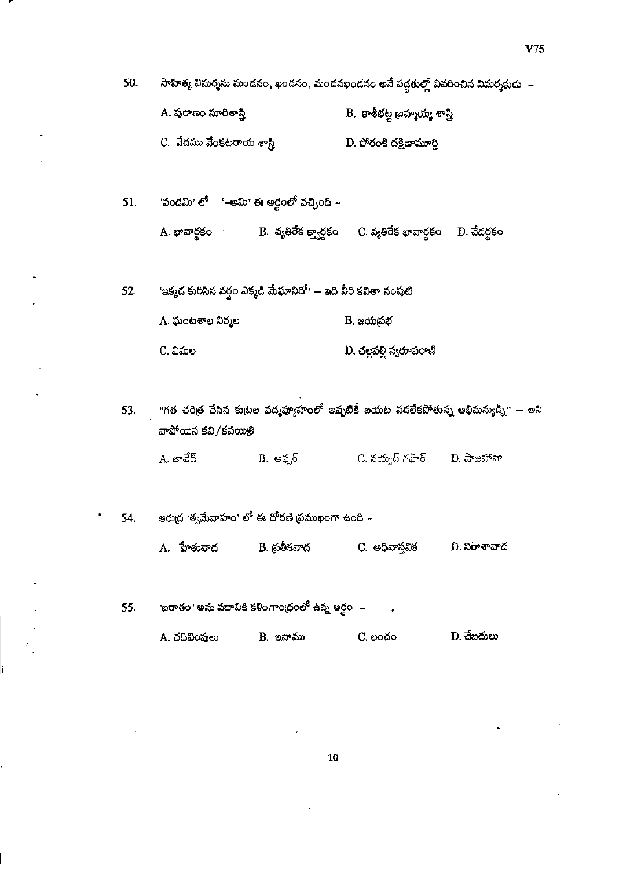$V75$ 

50. సాహిత్య విమర్శను మందనం, ఖండనం, మందనఖండనం అనే పద్ధతుల్లో వివరించిన విమర్శకుడు $\;$  –

- A. ప్రరాణం సూరిశాస్త్రి B. కాశీభట్ల బ్రహ్మయ్య శాస్త్రి
- C. వేదము వేంకటరాయ శాస్త్రి D. పోరంకి దక్షిణామూర్తి

'వండమి' లో '–అమి' ఈ అర్థంలో వచ్చింది – 51. - B. వ్యతిరేక క్వార్టకం - C. వ్యతిరేక భావార్థకం - D. చేదర్థకం A. భావార్థకం

'ఇక్మద కురిసిన వర్షం ఎక్మడి మేఘానిదో' — ఇది వీరి కవితా సంపుటి 52. A. ఘంటశాల నిర్మల B. జయబ్రభ

- D. చల్లపల్లి స్వరూపరాణి C. విమల
- "గత చరిత్ర చేసిన కుటల వద్మఫ్యాహంలో ఇష్ళటికీ ఐయట పదలేకపోతున్న అభిమన్యుడ్ని" అని 53. వాపోయిన కవి/కవయితి

A. జావేద్ C. నయ్యద్ గఫార్  $D.$  షాజహానా B. అఫ్కర్

- ఆరుద్ర 'త్వమేవాహం' లో ఈ ధోరణి ప్రముఖంగా ఉంది 54. B. ప్రతీకవాద C. అధివాస్తవిక A. హేతువాద D. నిరాశావాద
- ాబరాతం<sup>,</sup> అను పదానికి కళింగాంద్రంలో ఉన్న అర్థం 55.

| A. చదివింపులు | B. ఇనాము | C. లంచం | D. చేబదులు |
|---------------|----------|---------|------------|
|---------------|----------|---------|------------|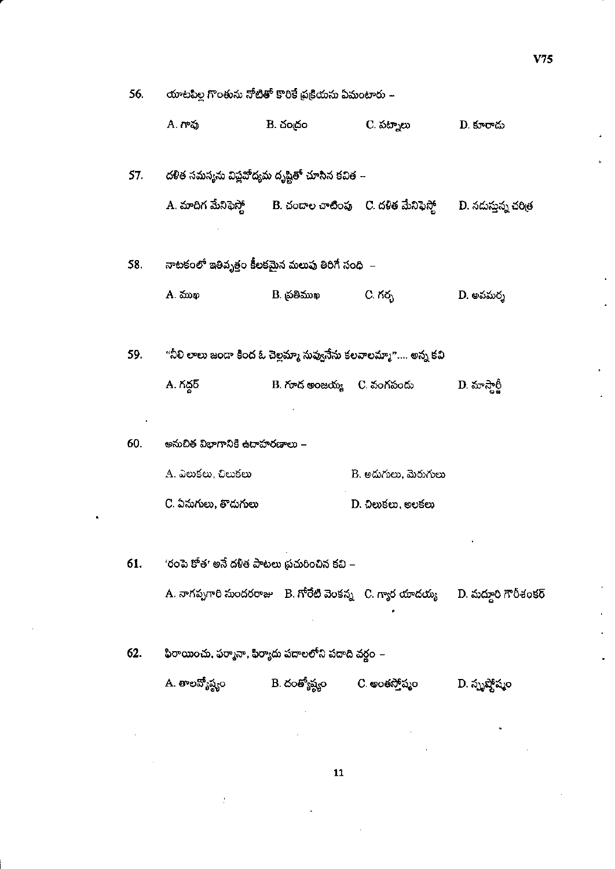C. పట్నాలు **A.** గావు  $B.$  చంద్రం D. కూరాదు దళిత సమస్యను విప్లవోద్యమ దృష్టితో చూసిన కవిత $\,$  – 57. B. చందాల చాటింపు - C. దళిత మేనిఫెస్తో A. మాదిగ మేనిఫెస్తో D. నదుస్తున్న చరిత్ర నాటకంలో ఇతివృత్తం కీలకమైన మలుపు తిరిగే సంధి $\,$  – 58. A. ముఖ D. అవమర్శ B. ప్రతిముఖ  $C.$  గర్భ $\overline{C}$ "నీలి లాలు జందా కింద ఓ చెల్లమ్మా నువ్వనేను కలవాలమ్మా"…. అన్న కవి 59. A. గద్దర్ B. గూడ అంజయ్య - C. వంగపందు D. మాస్తార్జీ 60. అనుచిత విభాగానికి ఉదాహరణాలు – A. ఎలుకలు, చిలుకలు B. అదుగులు, మెరుగులు

యాటపిల్ల గొంతును నోటితో కొరికే ప్రక్రియను ఏమంటారు –

'రంపె కోత' అనే దళిత పాటలు ప్రచురించిన కవి – 61.

C. ఏనుగులు, తాదుగులు

56.

A. నాగప్పగారి సుందరరాజు  $\parallel$  B. గోరేటి వెంకన్న  $\parallel$  C. గ్యార యాదయ్య D. మద్దూరి గౌరీశంకర్

 $D.$   $\Omega$ లుకలు, అలకలు

 $62.$ ఫిరాయించు, ఫర్మానా, ఫిర్యాదు పదాలలోని పదాది వర్గం – A. తాలవ్యోష్ణం B. దంత్యోష్ణం C. అంతస్తోష్మం D. స్పృష్తోష్మం

 ${\bf 11}$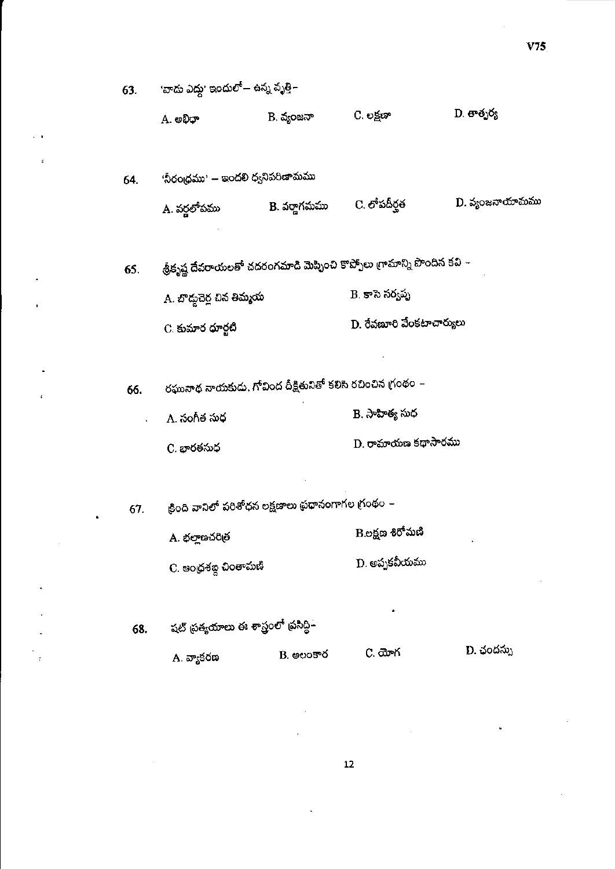| 63. | 'వాదు ఎద్దు' ఇందులో— ఉన్న వృత్తి–                          |              |                                                                          |                 |  |
|-----|------------------------------------------------------------|--------------|--------------------------------------------------------------------------|-----------------|--|
|     | A. అభిధా                                                   | B. వ్యంజనా   | C. లక్షణా                                                                | D. తాత్పర్య     |  |
| 64. | 'నీరంధ్రము' — ఇందలి ధ్వనిపరిణామము                          |              |                                                                          |                 |  |
|     | A. వర్ణలోపము                                               | B. వర్తాగమము | C. లోపదీర్ఘత                                                             | D. వ్యంజనాయామము |  |
| 65. |                                                            |              | శ్రీకృష్ణ దేవరాయలతో చదరంగమాడి మెప్పించి కొప్పోలు గ్రామాన్ని పొందిన కవి – |                 |  |
|     | A. బొద్దుచెర్ల చిన తిమ్మయ                                  |              | B. కాసె సర్వప్ప                                                          |                 |  |
|     | C. కుమార ధూర్జటి                                           |              | D. రేవణూరి వేంకటాచార్యులు                                                |                 |  |
|     |                                                            |              |                                                                          |                 |  |
| 66. | రఘునాథ నాయకుడు, గోవింద దీక్షితునితో కలిసి రచించిన గ్రంథం – |              |                                                                          |                 |  |
|     | A. సంగీత సుధ                                               |              | B. సాహిత్య సుధ                                                           |                 |  |
|     | C. భారతసుధ                                                 |              | D. రామాయణ కథాసారము                                                       |                 |  |
|     |                                                            |              |                                                                          |                 |  |
| 67. | క్రింది వానిలో పరిశోధన లక్షణాలు ప్రధానంగాగల గ్రంథం –       |              |                                                                          |                 |  |
|     | A. భల్లాణచరిత్ర                                            |              | B.లక్షణ శిరోమణి                                                          |                 |  |
|     | C. ఆంధ్రశబ్ద చింతామణి                                      |              | D. అప్పకవీయము                                                            |                 |  |
|     |                                                            |              |                                                                          |                 |  |
| 68. | షట్ ప్రత్యయాలు ఈ శాస్త్రంలో ప్రసిద్ధి–                     |              |                                                                          |                 |  |
|     | A. వ్యాకరణ                                                 | $B.$ అలంకార  | C. యోగ                                                                   | D. ఛందస్సు      |  |
|     |                                                            |              |                                                                          |                 |  |

 $\overline{z}$ 

×

 $V75$ 

 $12$ 

×

¢,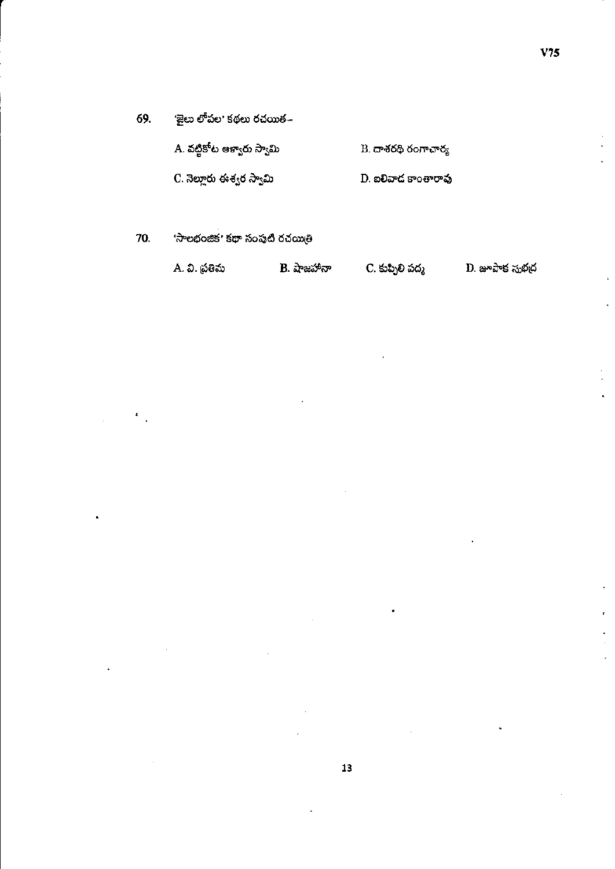69. 'జైలు లోపల' కథలు రచయిత –

| .A. వట్టికోట ఆళ్వారు స్వామి | $B$ . దాశరథి రంగాచార్య |  |
|-----------------------------|------------------------|--|
| -C. నెల్లారు ఈశ్వర స్వామి   | D. ఐలివాద కాంతారావు    |  |
|                             |                        |  |

70. 'సాలభంజిక' కథా సంపుటి రచయితి

ċ

|  | A. వి. ప్రతిమ | B. షాజహానా | C. కుప్పిలి పద్మ | D. జూపాక సుభద |
|--|---------------|------------|------------------|---------------|
|--|---------------|------------|------------------|---------------|

 $\bullet$